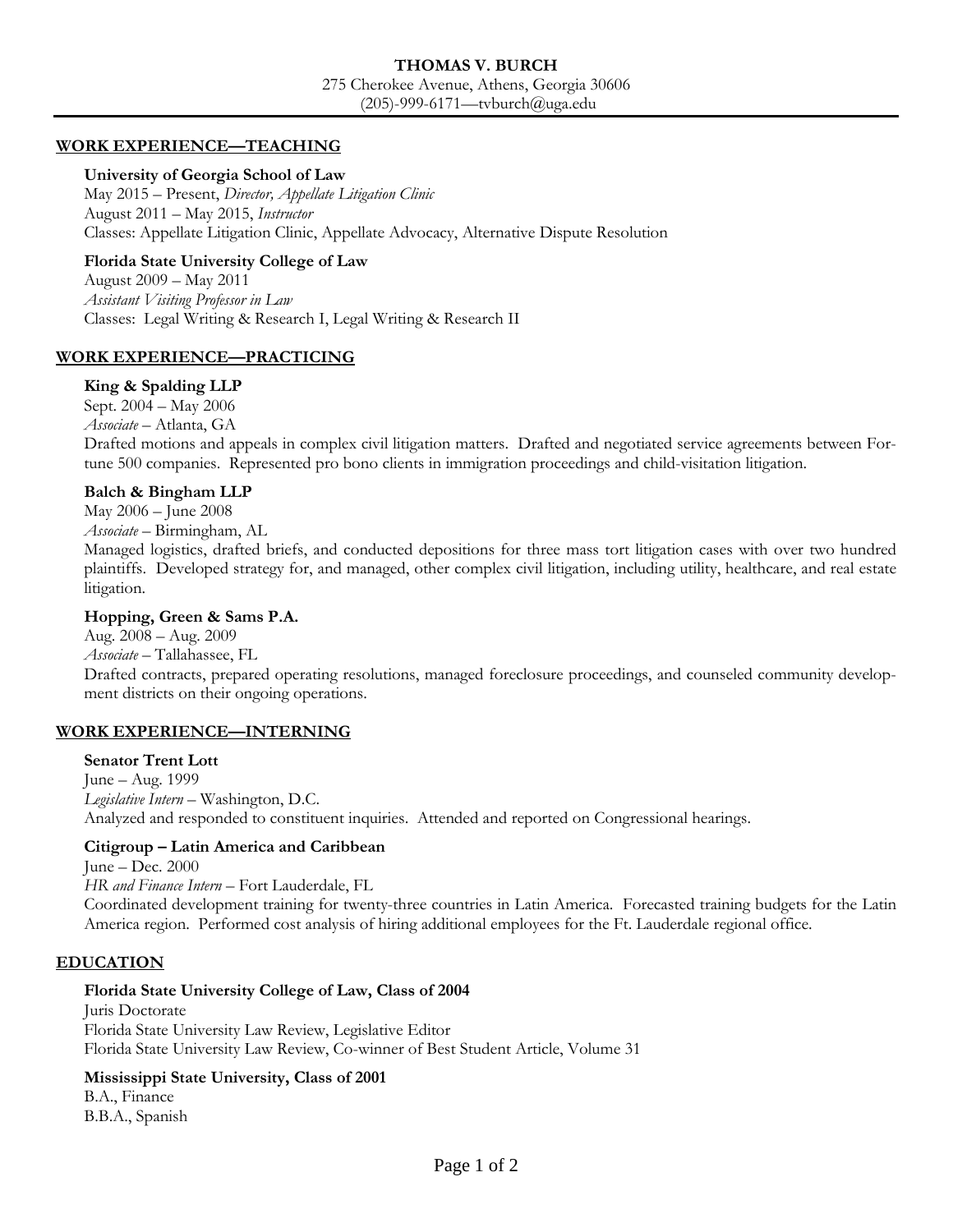## **THOMAS V. BURCH** 275 Cherokee Avenue, Athens, Georgia 30606 (205)-999-6171—tvburch@uga.edu

## **WORK EXPERIENCE—TEACHING**

#### **University of Georgia School of Law**

May 2015 – Present, *Director, Appellate Litigation Clinic* August 2011 – May 2015, *Instructor*  Classes: Appellate Litigation Clinic, Appellate Advocacy, Alternative Dispute Resolution

### **Florida State University College of Law**

August 2009 – May 2011 *Assistant Visiting Professor in Law* Classes: Legal Writing & Research I, Legal Writing & Research II

## **WORK EXPERIENCE—PRACTICING**

#### **King & Spalding LLP**

Sept. 2004 – May 2006 *Associate –* Atlanta, GA Drafted motions and appeals in complex civil litigation matters. Drafted and negotiated service agreements between Fortune 500 companies. Represented pro bono clients in immigration proceedings and child-visitation litigation.

#### **Balch & Bingham LLP**

May 2006 – June 2008

*Associate –* Birmingham, AL

Managed logistics, drafted briefs, and conducted depositions for three mass tort litigation cases with over two hundred plaintiffs. Developed strategy for, and managed, other complex civil litigation, including utility, healthcare, and real estate litigation.

#### **Hopping, Green & Sams P.A.**

Aug. 2008 – Aug. 2009 *Associate –* Tallahassee, FL Drafted contracts, prepared operating resolutions, managed foreclosure proceedings, and counseled community development districts on their ongoing operations.

## **WORK EXPERIENCE—INTERNING**

#### **Senator Trent Lott**

June – Aug. 1999 *Legislative Intern –* Washington, D.C. Analyzed and responded to constituent inquiries. Attended and reported on Congressional hearings.

## **Citigroup – Latin America and Caribbean**

June – Dec. 2000

*HR and Finance Intern –* Fort Lauderdale, FL

Coordinated development training for twenty-three countries in Latin America. Forecasted training budgets for the Latin America region. Performed cost analysis of hiring additional employees for the Ft. Lauderdale regional office.

## **EDUCATION**

## **Florida State University College of Law, Class of 2004**

Juris Doctorate Florida State University Law Review, Legislative Editor Florida State University Law Review, Co-winner of Best Student Article, Volume 31

# **Mississippi State University, Class of 2001**

B.A., Finance B.B.A., Spanish